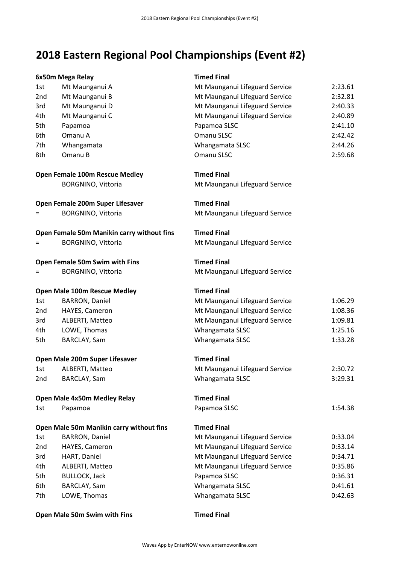# **2018 Eastern Regional Pool Championships (Event #2)**

|     | 6x50m Mega Relay                           | <b>Timed Final</b>             |         |
|-----|--------------------------------------------|--------------------------------|---------|
| 1st | Mt Maunganui A                             | Mt Maunganui Lifeguard Service | 2:23.61 |
| 2nd | Mt Maunganui B                             | Mt Maunganui Lifeguard Service | 2:32.81 |
| 3rd | Mt Maunganui D                             | Mt Maunganui Lifeguard Service | 2:40.33 |
| 4th | Mt Maunganui C                             | Mt Maunganui Lifeguard Service | 2:40.89 |
| 5th | Papamoa                                    | Papamoa SLSC                   | 2:41.10 |
| 6th | Omanu A                                    | Omanu SLSC                     | 2:42.42 |
| 7th | Whangamata                                 | Whangamata SLSC                | 2:44.26 |
| 8th | Omanu B                                    | Omanu SLSC                     | 2:59.68 |
|     | Open Female 100m Rescue Medley             | <b>Timed Final</b>             |         |
|     | <b>BORGNINO, Vittoria</b>                  | Mt Maunganui Lifeguard Service |         |
|     | Open Female 200m Super Lifesaver           | <b>Timed Final</b>             |         |
| $=$ | <b>BORGNINO, Vittoria</b>                  | Mt Maunganui Lifeguard Service |         |
|     | Open Female 50m Manikin carry without fins | <b>Timed Final</b>             |         |
| Ξ   | <b>BORGNINO, Vittoria</b>                  | Mt Maunganui Lifeguard Service |         |
|     | Open Female 50m Swim with Fins             | <b>Timed Final</b>             |         |
|     | <b>BORGNINO, Vittoria</b>                  | Mt Maunganui Lifeguard Service |         |
|     | Open Male 100m Rescue Medley               | <b>Timed Final</b>             |         |
| 1st | <b>BARRON, Daniel</b>                      | Mt Maunganui Lifeguard Service | 1:06.29 |
| 2nd | HAYES, Cameron                             | Mt Maunganui Lifeguard Service | 1:08.36 |
| 3rd | ALBERTI, Matteo                            | Mt Maunganui Lifeguard Service | 1:09.81 |
| 4th | LOWE, Thomas                               | Whangamata SLSC                | 1:25.16 |
| 5th | BARCLAY, Sam                               | Whangamata SLSC                | 1:33.28 |
|     | Open Male 200m Super Lifesaver             | <b>Timed Final</b>             |         |
| 1st | ALBERTI, Matteo                            | Mt Maunganui Lifeguard Service | 2:30.72 |
| 2nd | BARCLAY, Sam                               | Whangamata SLSC                | 3:29.31 |
|     | Open Male 4x50m Medley Relay               | <b>Timed Final</b>             |         |
| 1st | Papamoa                                    | Papamoa SLSC                   | 1:54.38 |
|     | Open Male 50m Manikin carry without fins   | <b>Timed Final</b>             |         |
| 1st | <b>BARRON, Daniel</b>                      | Mt Maunganui Lifeguard Service | 0:33.04 |
| 2nd | HAYES, Cameron                             | Mt Maunganui Lifeguard Service | 0:33.14 |
| 3rd | HART, Daniel                               | Mt Maunganui Lifeguard Service | 0:34.71 |
| 4th | ALBERTI, Matteo                            | Mt Maunganui Lifeguard Service | 0:35.86 |
| 5th | <b>BULLOCK, Jack</b>                       | Papamoa SLSC                   | 0:36.31 |
| 6th | BARCLAY, Sam                               | Whangamata SLSC                | 0:41.61 |
| 7th | LOWE, Thomas                               | Whangamata SLSC                | 0:42.63 |

#### **Open Male 50m Swim with Fins Timed Final**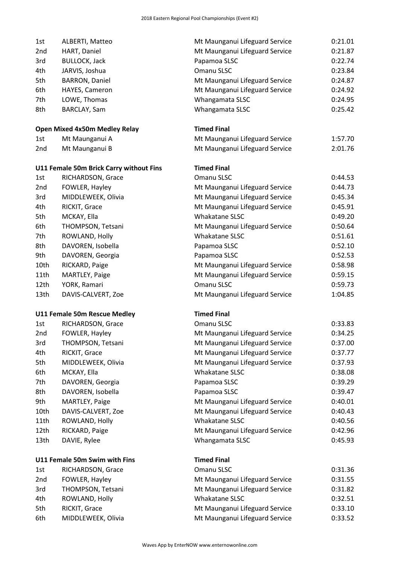| 1st  | ALBERTI, Matteo                         | Mt Maunganui Lifeguard Service | 0:21.01 |
|------|-----------------------------------------|--------------------------------|---------|
| 2nd  | HART, Daniel                            | Mt Maunganui Lifeguard Service | 0:21.87 |
| 3rd  | <b>BULLOCK, Jack</b>                    | Papamoa SLSC                   | 0:22.74 |
| 4th  | JARVIS, Joshua                          | Omanu SLSC                     | 0:23.84 |
| 5th  | <b>BARRON, Daniel</b>                   | Mt Maunganui Lifeguard Service | 0:24.87 |
| 6th  | HAYES, Cameron                          | Mt Maunganui Lifeguard Service | 0:24.92 |
| 7th  | LOWE, Thomas                            | Whangamata SLSC                | 0:24.95 |
| 8th  | BARCLAY, Sam                            | Whangamata SLSC                | 0:25.42 |
|      | <b>Open Mixed 4x50m Medley Relay</b>    | <b>Timed Final</b>             |         |
| 1st  | Mt Maunganui A                          | Mt Maunganui Lifeguard Service | 1:57.70 |
| 2nd  | Mt Maunganui B                          | Mt Maunganui Lifeguard Service | 2:01.76 |
|      | U11 Female 50m Brick Carry without Fins | <b>Timed Final</b>             |         |
| 1st  | RICHARDSON, Grace                       | Omanu SLSC                     | 0:44.53 |
| 2nd  | FOWLER, Hayley                          | Mt Maunganui Lifeguard Service | 0:44.73 |
| 3rd  | MIDDLEWEEK, Olivia                      | Mt Maunganui Lifeguard Service | 0:45.34 |
| 4th  | RICKIT, Grace                           | Mt Maunganui Lifeguard Service | 0:45.91 |
| 5th  | MCKAY, Ella                             | Whakatane SLSC                 | 0:49.20 |
| 6th  | THOMPSON, Tetsani                       | Mt Maunganui Lifeguard Service | 0:50.64 |
| 7th  | ROWLAND, Holly                          | Whakatane SLSC                 | 0:51.61 |
| 8th  | DAVOREN, Isobella                       | Papamoa SLSC                   | 0:52.10 |
| 9th  | DAVOREN, Georgia                        | Papamoa SLSC                   | 0:52.53 |
| 10th | RICKARD, Paige                          | Mt Maunganui Lifeguard Service | 0:58.98 |
| 11th | MARTLEY, Paige                          | Mt Maunganui Lifeguard Service | 0:59.15 |
| 12th | YORK, Ramari                            | Omanu SLSC                     | 0:59.73 |
| 13th | DAVIS-CALVERT, Zoe                      | Mt Maunganui Lifeguard Service | 1:04.85 |
|      | <b>U11 Female 50m Rescue Medley</b>     | <b>Timed Final</b>             |         |
| 1st  | RICHARDSON, Grace                       | Omanu SLSC                     | 0:33.83 |
| 2nd  | FOWLER, Hayley                          | Mt Maunganui Lifeguard Service | 0:34.25 |
| 3rd  | THOMPSON, Tetsani                       | Mt Maunganui Lifeguard Service | 0:37.00 |
| 4th  | RICKIT, Grace                           | Mt Maunganui Lifeguard Service | 0:37.77 |
| 5th  | MIDDLEWEEK, Olivia                      | Mt Maunganui Lifeguard Service | 0:37.93 |
| 6th  | MCKAY, Ella                             | Whakatane SLSC                 | 0:38.08 |
| 7th  | DAVOREN, Georgia                        | Papamoa SLSC                   | 0:39.29 |
| 8th  | DAVOREN, Isobella                       | Papamoa SLSC                   | 0:39.47 |
| 9th  | MARTLEY, Paige                          | Mt Maunganui Lifeguard Service | 0:40.01 |
| 10th | DAVIS-CALVERT, Zoe                      | Mt Maunganui Lifeguard Service | 0:40.43 |
| 11th | ROWLAND, Holly                          | Whakatane SLSC                 | 0:40.56 |
| 12th | RICKARD, Paige                          | Mt Maunganui Lifeguard Service | 0:42.96 |
| 13th | DAVIE, Rylee                            | Whangamata SLSC                | 0:45.93 |
|      | U11 Female 50m Swim with Fins           | <b>Timed Final</b>             |         |
| 1st  | RICHARDSON, Grace                       | Omanu SLSC                     | 0:31.36 |
| 2nd  | FOWLER, Hayley                          | Mt Maunganui Lifeguard Service | 0:31.55 |
| 3rd  | THOMPSON, Tetsani                       | Mt Maunganui Lifeguard Service | 0:31.82 |
| 4th  | ROWLAND, Holly                          | Whakatane SLSC                 | 0:32.51 |
| 5th  | RICKIT, Grace                           | Mt Maunganui Lifeguard Service | 0:33.10 |
| 6th  | MIDDLEWEEK, Olivia                      | Mt Maunganui Lifeguard Service | 0:33.52 |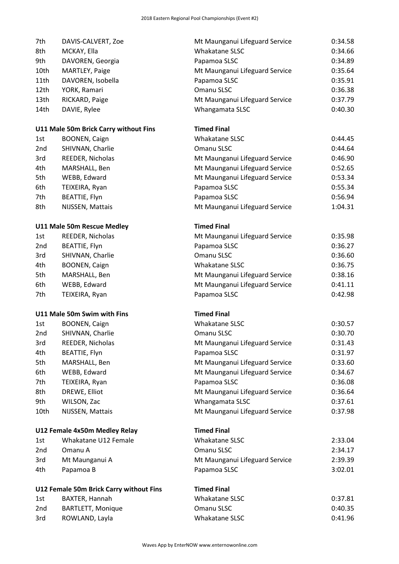| 7th  | DAVIS-CALVERT, Zoe                      | Mt Maunganui Lifeguard Service | 0:34.58 |
|------|-----------------------------------------|--------------------------------|---------|
| 8th  | Whakatane SLSC<br>MCKAY, Ella           |                                | 0:34.66 |
| 9th  | DAVOREN, Georgia                        | Papamoa SLSC                   | 0:34.89 |
| 10th | MARTLEY, Paige                          | Mt Maunganui Lifeguard Service | 0:35.64 |
| 11th | DAVOREN, Isobella                       | Papamoa SLSC                   | 0:35.91 |
| 12th | YORK, Ramari                            | Omanu SLSC                     | 0:36.38 |
| 13th | RICKARD, Paige                          | Mt Maunganui Lifeguard Service | 0:37.79 |
| 14th | DAVIE, Rylee                            | Whangamata SLSC                | 0:40.30 |
|      | U11 Male 50m Brick Carry without Fins   | <b>Timed Final</b>             |         |
| 1st  | BOONEN, Caign                           | Whakatane SLSC                 | 0:44.45 |
| 2nd  | SHIVNAN, Charlie                        | Omanu SLSC                     | 0:44.64 |
| 3rd  | REEDER, Nicholas                        | Mt Maunganui Lifeguard Service | 0:46.90 |
| 4th  | MARSHALL, Ben                           | Mt Maunganui Lifeguard Service | 0:52.65 |
| 5th  | WEBB, Edward                            | Mt Maunganui Lifeguard Service | 0:53.34 |
| 6th  | TEIXEIRA, Ryan                          | Papamoa SLSC                   | 0:55.34 |
| 7th  | BEATTIE, Flyn                           | Papamoa SLSC                   | 0:56.94 |
| 8th  | NIJSSEN, Mattais                        | Mt Maunganui Lifeguard Service | 1:04.31 |
|      | U11 Male 50m Rescue Medley              | <b>Timed Final</b>             |         |
| 1st  | REEDER, Nicholas                        | Mt Maunganui Lifeguard Service | 0:35.98 |
| 2nd  | BEATTIE, Flyn                           | Papamoa SLSC                   | 0:36.27 |
| 3rd  | SHIVNAN, Charlie                        | Omanu SLSC                     | 0:36.60 |
| 4th  | <b>BOONEN, Caign</b>                    | Whakatane SLSC                 | 0:36.75 |
| 5th  | MARSHALL, Ben                           | Mt Maunganui Lifeguard Service | 0:38.16 |
| 6th  | WEBB, Edward                            | Mt Maunganui Lifeguard Service | 0:41.11 |
| 7th  | TEIXEIRA, Ryan                          | Papamoa SLSC                   | 0:42.98 |
|      | U11 Male 50m Swim with Fins             | <b>Timed Final</b>             |         |
| 1st  | BOONEN, Caign                           | Whakatane SLSC                 | 0:30.57 |
| 2nd  | SHIVNAN, Charlie                        | Omanu SLSC                     | 0:30.70 |
| 3rd  | REEDER, Nicholas                        | Mt Maunganui Lifeguard Service | 0:31.43 |
| 4th  | BEATTIE, Flyn                           | Papamoa SLSC                   | 0:31.97 |
| 5th  | MARSHALL, Ben                           | Mt Maunganui Lifeguard Service | 0:33.60 |
| 6th  | WEBB, Edward                            | Mt Maunganui Lifeguard Service | 0:34.67 |
| 7th  | TEIXEIRA, Ryan                          | Papamoa SLSC                   | 0:36.08 |
| 8th  | DREWE, Elliot                           | Mt Maunganui Lifeguard Service | 0:36.64 |
| 9th  | WILSON, Zac                             | Whangamata SLSC                | 0:37.61 |
| 10th | NIJSSEN, Mattais                        | Mt Maunganui Lifeguard Service | 0:37.98 |
|      | U12 Female 4x50m Medley Relay           | <b>Timed Final</b>             |         |
| 1st  | Whakatane U12 Female                    | Whakatane SLSC                 | 2:33.04 |
| 2nd  | Omanu A                                 | Omanu SLSC                     | 2:34.17 |
| 3rd  | Mt Maunganui A                          | Mt Maunganui Lifeguard Service | 2:39.39 |
| 4th  | Papamoa B                               | Papamoa SLSC                   | 3:02.01 |
|      | U12 Female 50m Brick Carry without Fins | <b>Timed Final</b>             |         |
| 1st  | BAXTER, Hannah                          | Whakatane SLSC                 | 0:37.81 |
| 2nd  | <b>BARTLETT, Monique</b>                | Omanu SLSC                     | 0:40.35 |
| 3rd  | ROWLAND, Layla                          | Whakatane SLSC                 | 0:41.96 |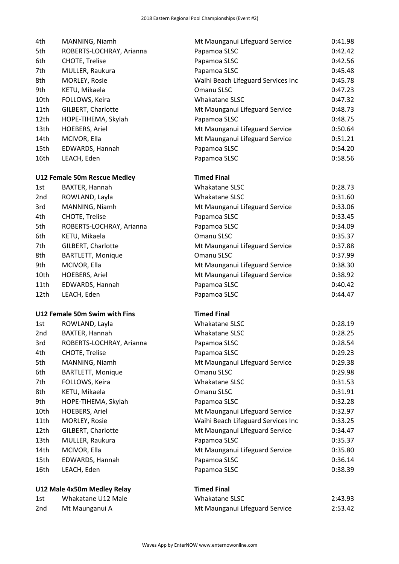| 4th              | MANNING, Niamh                | Mt Maunganui Lifeguard Service     | 0:41.98 |
|------------------|-------------------------------|------------------------------------|---------|
| 5th              | ROBERTS-LOCHRAY, Arianna      | Papamoa SLSC                       | 0:42.42 |
| 6th              | <b>CHOTE, Trelise</b>         | Papamoa SLSC                       | 0:42.56 |
| 7th              | MULLER, Raukura               | Papamoa SLSC                       | 0:45.48 |
| 8th              | MORLEY, Rosie                 | Waihi Beach Lifeguard Services Inc | 0:45.78 |
| 9th              | KETU, Mikaela                 | Omanu SLSC                         | 0:47.23 |
| 10th             | FOLLOWS, Keira                | Whakatane SLSC                     | 0:47.32 |
| 11th             | GILBERT, Charlotte            | Mt Maunganui Lifeguard Service     | 0:48.73 |
| 12 <sub>th</sub> | HOPE-TIHEMA, Skylah           | Papamoa SLSC                       | 0:48.75 |
| 13th             | <b>HOEBERS, Ariel</b>         | Mt Maunganui Lifeguard Service     | 0:50.64 |
| 14th             | MCIVOR, Ella                  | Mt Maunganui Lifeguard Service     | 0:51.21 |
| 15th             | EDWARDS, Hannah               | Papamoa SLSC                       | 0:54.20 |
| 16th             | LEACH, Eden                   | Papamoa SLSC                       | 0:58.56 |
|                  | U12 Female 50m Rescue Medley  | <b>Timed Final</b>                 |         |
| 1st              | BAXTER, Hannah                | Whakatane SLSC                     | 0:28.73 |
| 2nd              | ROWLAND, Layla                | Whakatane SLSC                     | 0:31.60 |
| 3rd              | MANNING, Niamh                | Mt Maunganui Lifeguard Service     | 0:33.06 |
| 4th              | CHOTE, Trelise                | Papamoa SLSC                       | 0:33.45 |
| 5th              | ROBERTS-LOCHRAY, Arianna      | Papamoa SLSC                       | 0:34.09 |
| 6th              | KETU, Mikaela                 | Omanu SLSC                         | 0:35.37 |
| 7th              | GILBERT, Charlotte            | Mt Maunganui Lifeguard Service     | 0:37.88 |
| 8th              | <b>BARTLETT, Monique</b>      | Omanu SLSC                         | 0:37.99 |
| 9th              | MCIVOR, Ella                  | Mt Maunganui Lifeguard Service     | 0:38.30 |
| 10th             | <b>HOEBERS, Ariel</b>         | Mt Maunganui Lifeguard Service     | 0:38.92 |
| 11th             | EDWARDS, Hannah               | Papamoa SLSC                       | 0:40.42 |
| 12th             | LEACH, Eden                   | Papamoa SLSC                       | 0:44.47 |
|                  | U12 Female 50m Swim with Fins | <b>Timed Final</b>                 |         |
| 1st              | ROWLAND, Layla                | Whakatane SLSC                     | 0:28.19 |
| 2nd              | BAXTER, Hannah                | Whakatane SLSC                     | 0:28.25 |
| 3rd              | ROBERTS-LOCHRAY, Arianna      | Papamoa SLSC                       | 0:28.54 |
| 4th              | <b>CHOTE, Trelise</b>         | Papamoa SLSC                       | 0:29.23 |
| 5th              | MANNING, Niamh                | Mt Maunganui Lifeguard Service     | 0:29.38 |
| 6th              | <b>BARTLETT, Monique</b>      | Omanu SLSC                         | 0:29.98 |
| 7th              | FOLLOWS, Keira                | Whakatane SLSC                     | 0:31.53 |
| 8th              | KETU, Mikaela                 | Omanu SLSC                         | 0:31.91 |
| 9th              | HOPE-TIHEMA, Skylah           | Papamoa SLSC                       | 0:32.28 |
| 10th             | HOEBERS, Ariel                | Mt Maunganui Lifeguard Service     | 0:32.97 |
| 11th             | MORLEY, Rosie                 | Waihi Beach Lifeguard Services Inc | 0:33.25 |
| 12th             | GILBERT, Charlotte            | Mt Maunganui Lifeguard Service     | 0:34.47 |
| 13th             | MULLER, Raukura               | Papamoa SLSC                       | 0:35.37 |
| 14th             | MCIVOR, Ella                  | Mt Maunganui Lifeguard Service     | 0:35.80 |
| 15th             | EDWARDS, Hannah               | Papamoa SLSC                       | 0:36.14 |
| 16th             | LEACH, Eden                   | Papamoa SLSC                       | 0:38.39 |
|                  | U12 Male 4x50m Medley Relay   | <b>Timed Final</b>                 |         |
| 1st              | Whakatane U12 Male            | Whakatane SLSC                     | 2:43.93 |
| 2nd              | Mt Maunganui A                | Mt Maunganui Lifeguard Service     | 2:53.42 |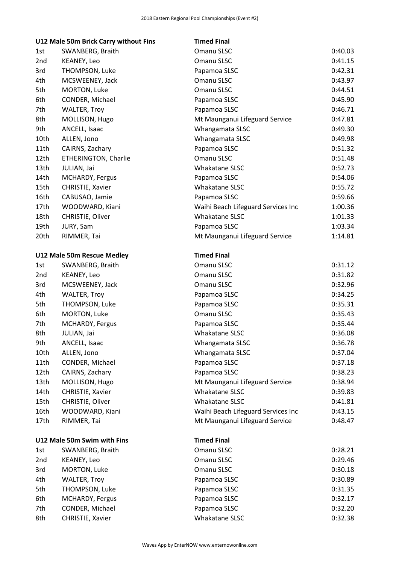|      | U12 Male 50m Brick Carry without Fins | <b>Timed Final</b>                 |         |
|------|---------------------------------------|------------------------------------|---------|
| 1st  | SWANBERG, Braith                      | Omanu SLSC                         | 0:40.03 |
| 2nd  | KEANEY, Leo                           | Omanu SLSC                         | 0:41.15 |
| 3rd  | THOMPSON, Luke                        | Papamoa SLSC                       | 0:42.31 |
| 4th  | MCSWEENEY, Jack                       | Omanu SLSC                         | 0:43.97 |
| 5th  | MORTON, Luke                          | Omanu SLSC                         | 0:44.51 |
| 6th  | CONDER, Michael                       | Papamoa SLSC                       | 0:45.90 |
| 7th  | <b>WALTER, Troy</b>                   | Papamoa SLSC                       | 0:46.71 |
| 8th  | MOLLISON, Hugo                        | Mt Maunganui Lifeguard Service     | 0:47.81 |
| 9th  | ANCELL, Isaac                         | Whangamata SLSC                    | 0:49.30 |
| 10th | ALLEN, Jono                           | Whangamata SLSC                    | 0:49.98 |
| 11th | CAIRNS, Zachary                       | Papamoa SLSC                       | 0:51.32 |
| 12th | ETHERINGTON, Charlie                  | Omanu SLSC                         | 0:51.48 |
| 13th | JULIAN, Jai                           | Whakatane SLSC                     | 0:52.73 |
| 14th | MCHARDY, Fergus                       | Papamoa SLSC                       | 0:54.06 |
| 15th | CHRISTIE, Xavier                      | Whakatane SLSC                     | 0:55.72 |
| 16th | CABUSAO, Jamie                        | Papamoa SLSC                       | 0:59.66 |
| 17th | WOODWARD, Kiani                       | Waihi Beach Lifeguard Services Inc | 1:00.36 |
| 18th | CHRISTIE, Oliver                      | <b>Whakatane SLSC</b>              | 1:01.33 |
| 19th | JURY, Sam                             | Papamoa SLSC                       | 1:03.34 |
| 20th | RIMMER, Tai                           | Mt Maunganui Lifeguard Service     | 1:14.81 |
|      |                                       |                                    |         |
|      | U12 Male 50m Rescue Medley            | <b>Timed Final</b>                 |         |
| 1st  | SWANBERG, Braith                      | Omanu SLSC                         | 0:31.12 |
| 2nd  | KEANEY, Leo                           | Omanu SLSC                         | 0:31.82 |
| 3rd  | MCSWEENEY, Jack                       | Omanu SLSC                         | 0:32.96 |
| 4th  | <b>WALTER, Troy</b>                   | Papamoa SLSC                       | 0:34.25 |
| 5th  | THOMPSON, Luke                        | Papamoa SLSC                       | 0:35.31 |
| 6th  | MORTON, Luke                          | Omanu SLSC                         | 0:35.43 |
| 7th  | MCHARDY, Fergus                       | Papamoa SLSC                       | 0:35.44 |
| 8th  | JULIAN, Jai                           | Whakatane SLSC                     | 0:36.08 |
| 9th  | ANCELL, Isaac                         | Whangamata SLSC                    | 0:36.78 |
| 10th | ALLEN, Jono                           | Whangamata SLSC                    | 0:37.04 |
| 11th | CONDER, Michael                       | Papamoa SLSC                       | 0:37.18 |
| 12th | CAIRNS, Zachary                       | Papamoa SLSC                       | 0:38.23 |
| 13th | MOLLISON, Hugo                        | Mt Maunganui Lifeguard Service     | 0:38.94 |
| 14th | CHRISTIE, Xavier                      | Whakatane SLSC                     | 0:39.83 |
| 15th | CHRISTIE, Oliver                      | Whakatane SLSC                     | 0:41.81 |
| 16th | WOODWARD, Kiani                       | Waihi Beach Lifeguard Services Inc | 0:43.15 |
| 17th | RIMMER, Tai                           | Mt Maunganui Lifeguard Service     | 0:48.47 |
|      |                                       |                                    |         |
|      | U12 Male 50m Swim with Fins           | <b>Timed Final</b>                 |         |
| 1st  | SWANBERG, Braith                      | Omanu SLSC                         | 0:28.21 |
| 2nd  | KEANEY, Leo                           | Omanu SLSC                         | 0:29.46 |
| 3rd  | MORTON, Luke                          | Omanu SLSC                         | 0:30.18 |
| 4th  | <b>WALTER, Troy</b>                   | Papamoa SLSC                       | 0:30.89 |
| 5th  | THOMPSON, Luke                        | Papamoa SLSC                       | 0:31.35 |
| 6th  | MCHARDY, Fergus                       | Papamoa SLSC                       | 0:32.17 |
| 7th  | CONDER, Michael                       | Papamoa SLSC                       | 0:32.20 |
| 8th  | CHRISTIE, Xavier                      | Whakatane SLSC                     | 0:32.38 |
|      |                                       |                                    |         |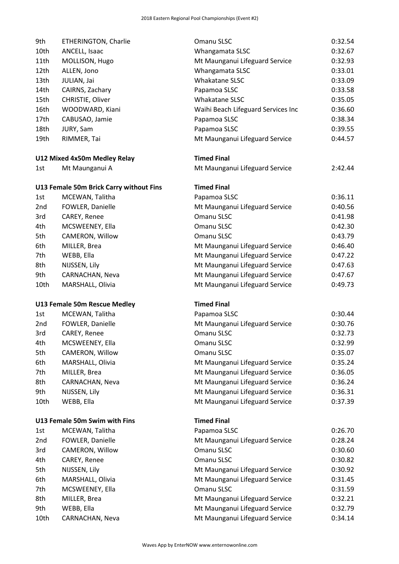| 9th         | ETHERINGTON, Charlie                    | Omanu SLSC                                                       | 0:32.54            |
|-------------|-----------------------------------------|------------------------------------------------------------------|--------------------|
| 10th        | ANCELL, Isaac                           | Whangamata SLSC                                                  | 0:32.67            |
| 11th        | MOLLISON, Hugo                          | Mt Maunganui Lifeguard Service                                   |                    |
| 12th        | ALLEN, Jono                             | Whangamata SLSC                                                  |                    |
| 13th        | JULIAN, Jai                             | Whakatane SLSC                                                   | 0:33.09            |
| 14th        | CAIRNS, Zachary                         | Papamoa SLSC                                                     | 0:33.58            |
| 15th        | CHRISTIE, Oliver                        | Whakatane SLSC                                                   | 0:35.05            |
| 16th        | WOODWARD, Kiani                         | Waihi Beach Lifeguard Services Inc                               | 0:36.60            |
| 17th        | CABUSAO, Jamie                          | Papamoa SLSC                                                     | 0:38.34            |
| 18th        | JURY, Sam                               | Papamoa SLSC                                                     | 0:39.55            |
| 19th        | RIMMER, Tai                             | Mt Maunganui Lifeguard Service                                   | 0:44.57            |
|             | U12 Mixed 4x50m Medley Relay            | <b>Timed Final</b>                                               |                    |
| 1st         | Mt Maunganui A                          | Mt Maunganui Lifeguard Service                                   | 2:42.44            |
|             | U13 Female 50m Brick Carry without Fins | <b>Timed Final</b>                                               |                    |
| 1st         | MCEWAN, Talitha                         | Papamoa SLSC                                                     | 0:36.11            |
| 2nd         | FOWLER, Danielle                        | Mt Maunganui Lifeguard Service                                   | 0:40.56            |
| 3rd         | CAREY, Renee                            | Omanu SLSC                                                       | 0:41.98            |
| 4th         | MCSWEENEY, Ella                         | Omanu SLSC                                                       | 0:42.30            |
| 5th         | CAMERON, Willow                         | Omanu SLSC                                                       | 0:43.79            |
| 6th         | MILLER, Brea                            | Mt Maunganui Lifeguard Service                                   | 0:46.40            |
| 7th         | WEBB, Ella                              | Mt Maunganui Lifeguard Service                                   | 0:47.22            |
| 8th         | NIJSSEN, Lily                           | Mt Maunganui Lifeguard Service                                   | 0:47.63            |
| 9th         | CARNACHAN, Neva                         | Mt Maunganui Lifeguard Service                                   | 0:47.67            |
|             | MARSHALL, Olivia                        | Mt Maunganui Lifeguard Service                                   | 0:49.73            |
| 10th        |                                         |                                                                  |                    |
|             | U13 Female 50m Rescue Medley            | <b>Timed Final</b>                                               |                    |
| 1st         | MCEWAN, Talitha                         | Papamoa SLSC                                                     | 0:30.44            |
| 2nd         | FOWLER, Danielle                        | Mt Maunganui Lifeguard Service                                   | 0:30.76            |
| 3rd         | CAREY, Renee                            | Omanu SLSC                                                       | 0:32.73            |
| 4th         | MCSWEENEY, Ella                         | Omanu SLSC                                                       | 0:32.99            |
| 5th         | CAMERON, Willow                         | Omanu SLSC                                                       | 0:35.07            |
| 6th         | MARSHALL, Olivia                        | Mt Maunganui Lifeguard Service                                   | 0:35.24            |
| 7th         | MILLER, Brea                            | Mt Maunganui Lifeguard Service                                   | 0:36.05            |
| 8th         | CARNACHAN, Neva                         | Mt Maunganui Lifeguard Service                                   | 0:36.24            |
| 9th         | NIJSSEN, Lily                           | Mt Maunganui Lifeguard Service                                   | 0:36.31            |
| 10th        | WEBB, Ella                              | Mt Maunganui Lifeguard Service                                   | 0:37.39            |
|             | U13 Female 50m Swim with Fins           | <b>Timed Final</b>                                               |                    |
| 1st         | MCEWAN, Talitha                         | Papamoa SLSC                                                     | 0:26.70            |
| 2nd         | FOWLER, Danielle                        | Mt Maunganui Lifeguard Service                                   | 0:28.24            |
| 3rd         | CAMERON, Willow                         | Omanu SLSC                                                       | 0:30.60            |
| 4th         | CAREY, Renee                            | Omanu SLSC                                                       | 0:30.82            |
| 5th         | NIJSSEN, Lily                           | Mt Maunganui Lifeguard Service                                   | 0:30.92            |
| 6th         | MARSHALL, Olivia                        | Mt Maunganui Lifeguard Service                                   | 0:31.45            |
| 7th         | MCSWEENEY, Ella                         | Omanu SLSC                                                       | 0:31.59            |
| 8th         | MILLER, Brea                            | Mt Maunganui Lifeguard Service                                   | 0:32.21            |
| 9th<br>10th | WEBB, Ella<br>CARNACHAN, Neva           | Mt Maunganui Lifeguard Service<br>Mt Maunganui Lifeguard Service | 0:32.79<br>0:34.14 |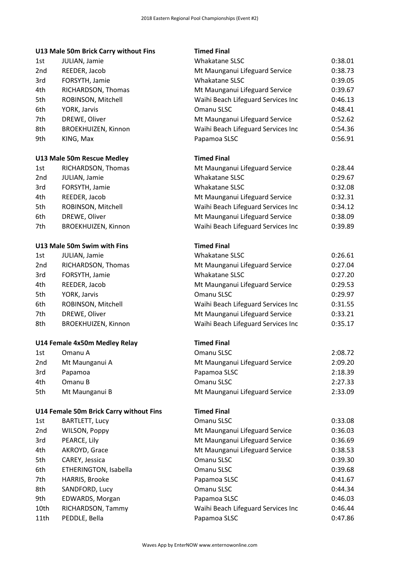## **U13 Male 50m Brick Carry without Fins Timed Final**

|                 | UIS Male 50m Brick Carry Without Fins | Timed Final        |
|-----------------|---------------------------------------|--------------------|
| 1st             | JULIAN, Jamie                         | Whakatane          |
| 2 <sub>nd</sub> | REEDER, Jacob                         | Mt Maunga          |
| 3rd             | FORSYTH, Jamie                        | Whakatane          |
| 4th.            | RICHARDSON, Thomas                    | Mt Maunga          |
| 5th             | ROBINSON, Mitchell                    | Waihi Beacl        |
| 6th             | YORK, Jarvis                          | Omanu SLS          |
| 7th             | DREWE, Oliver                         | Mt Maunga          |
| 8th             | BROEKHUIZEN, Kinnon                   | Waihi Beacl        |
| 9th             | KING, Max                             | Papamoa Sl         |
|                 | U13 Male 50m Rescue Medley            | <b>Timed Final</b> |
| 1st             | RICHARDSON, Thomas                    | Mt Maunga          |
| 2 <sub>nd</sub> | JULIAN, Jamie                         | Whakatane          |
| 3rd             | FORSYTH, Jamie                        | Whakatane          |
| 4th.            | REEDER, Jacob                         | Mt Maunga          |
| 5th             | ROBINSON, Mitchell                    | Waihi Beacl        |
| 6th             | DREWE, Oliver                         | Mt Maunga          |
|                 |                                       |                    |

#### **U13 Male 50m Swim with Fins**

| JULIAN, Jamie              |
|----------------------------|
| RICHARDSON, Thomas         |
| FORSYTH, Jamie             |
| REEDER, Jacob              |
| YORK, Jarvis               |
| ROBINSON, Mitchell         |
| DREWE, Oliver              |
| <b>BROEKHUIZEN, Kinnon</b> |
|                            |

#### **U14 Female 4x50m Medley Relay**

| 1st             | Omanu A        |
|-----------------|----------------|
| 2 <sub>nd</sub> | Mt Maunganui A |
| 3rd             | Papamoa        |
| 4th             | Omanu B        |
| 5th             | Mt Maunganui B |

### **U14 Female 50m Brick Carry without Fins**

| 1st             | <b>BARTLETT, Lucy</b> |
|-----------------|-----------------------|
| 2 <sub>nd</sub> | <b>WILSON, Poppy</b>  |
| 3rd             | PEARCE, Lily          |
| 4th             | AKROYD, Grace         |
| 5th             | CAREY, Jessica        |
| 6th             | ETHERINGTON, Isabella |
| 7th             | <b>HARRIS, Brooke</b> |
| 8th             | SANDFORD, Lucy        |
| 9th             | EDWARDS, Morgan       |
| 10th            | RICHARDSON, Tammy     |
| 11th            | PEDDLE. Bella         |

| 1st  | JULIAN, Jamie                           | Whakatane SLSC                     | 0:38.01 |
|------|-----------------------------------------|------------------------------------|---------|
| 2nd  | REEDER, Jacob                           | Mt Maunganui Lifeguard Service     | 0:38.73 |
| 3rd  | FORSYTH, Jamie                          | Whakatane SLSC                     | 0:39.05 |
| 4th  | RICHARDSON, Thomas                      | Mt Maunganui Lifeguard Service     | 0:39.67 |
| 5th  | ROBINSON, Mitchell                      | Waihi Beach Lifeguard Services Inc | 0:46.13 |
| 6th  | YORK, Jarvis                            | Omanu SLSC                         | 0:48.41 |
| 7th  | DREWE, Oliver                           | Mt Maunganui Lifeguard Service     | 0:52.62 |
| 8th  | BROEKHUIZEN, Kinnon                     | Waihi Beach Lifeguard Services Inc | 0:54.36 |
| 9th  | KING, Max                               | Papamoa SLSC                       | 0:56.91 |
|      | U13 Male 50m Rescue Medley              | <b>Timed Final</b>                 |         |
| 1st  | RICHARDSON, Thomas                      | Mt Maunganui Lifeguard Service     | 0:28.44 |
| 2nd  | JULIAN, Jamie                           | Whakatane SLSC                     | 0:29.67 |
| 3rd  | FORSYTH, Jamie                          | Whakatane SLSC                     | 0:32.08 |
| 4th  | REEDER, Jacob                           | Mt Maunganui Lifeguard Service     | 0:32.31 |
| 5th  | ROBINSON, Mitchell                      | Waihi Beach Lifeguard Services Inc | 0:34.12 |
| 6th  | DREWE, Oliver                           | Mt Maunganui Lifeguard Service     | 0:38.09 |
| 7th  | BROEKHUIZEN, Kinnon                     | Waihi Beach Lifeguard Services Inc | 0:39.89 |
|      | U13 Male 50m Swim with Fins             | <b>Timed Final</b>                 |         |
| 1st  | JULIAN, Jamie                           | Whakatane SLSC                     | 0:26.61 |
| 2nd  | RICHARDSON, Thomas                      | Mt Maunganui Lifeguard Service     | 0:27.04 |
| 3rd  | FORSYTH, Jamie                          | Whakatane SLSC                     | 0:27.20 |
| 4th  | REEDER, Jacob                           | Mt Maunganui Lifeguard Service     | 0:29.53 |
| 5th  | YORK, Jarvis                            | Omanu SLSC                         | 0:29.97 |
| 6th  | ROBINSON, Mitchell                      | Waihi Beach Lifeguard Services Inc | 0:31.55 |
| 7th  | DREWE, Oliver                           | Mt Maunganui Lifeguard Service     | 0:33.21 |
| 8th  | BROEKHUIZEN, Kinnon                     | Waihi Beach Lifeguard Services Inc | 0:35.17 |
|      | U14 Female 4x50m Medley Relay           | <b>Timed Final</b>                 |         |
| 1st  | Omanu A                                 | Omanu SLSC                         | 2:08.72 |
| 2nd  | Mt Maunganui A                          | Mt Maunganui Lifeguard Service     | 2:09.20 |
| 3rd  | Papamoa                                 | Papamoa SLSC                       | 2:18.39 |
| 4th  | Omanu B                                 | Omanu SLSC                         | 2:27.33 |
| 5th  | Mt Maunganui B                          | Mt Maunganui Lifeguard Service     | 2:33.09 |
|      | U14 Female 50m Brick Carry without Fins | <b>Timed Final</b>                 |         |
| 1st  | <b>BARTLETT, Lucy</b>                   | Omanu SLSC                         | 0:33.08 |
| 2nd  | WILSON, Poppy                           | Mt Maunganui Lifeguard Service     | 0:36.03 |
| 3rd  | PEARCE, Lily                            | Mt Maunganui Lifeguard Service     | 0:36.69 |
| 4th  | AKROYD, Grace                           | Mt Maunganui Lifeguard Service     | 0:38.53 |
| 5th  | CAREY, Jessica                          | Omanu SLSC                         | 0:39.30 |
| 6th  | ETHERINGTON, Isabella                   | Omanu SLSC                         | 0:39.68 |
| 7th  | HARRIS, Brooke                          | Papamoa SLSC                       | 0:41.67 |
| 8th  | SANDFORD, Lucy                          | Omanu SLSC                         | 0:44.34 |
| 9th  | EDWARDS, Morgan                         | Papamoa SLSC                       | 0:46.03 |
| 10th | RICHARDSON, Tammy                       | Waihi Beach Lifeguard Services Inc | 0:46.44 |
| 11th | PEDDLE, Bella                           | Papamoa SLSC                       | 0:47.86 |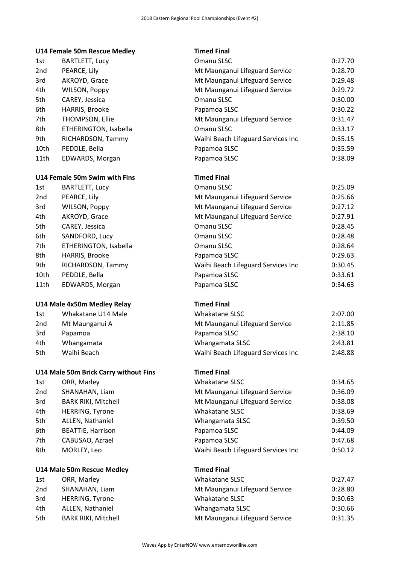|      | U14 Female 50m Rescue Medley          | <b>Timed Final</b>                 |         |
|------|---------------------------------------|------------------------------------|---------|
| 1st  | <b>BARTLETT, Lucy</b>                 | Omanu SLSC                         | 0:27.70 |
| 2nd  | PEARCE, Lily                          | Mt Maunganui Lifeguard Service     | 0:28.70 |
| 3rd  | AKROYD, Grace                         | Mt Maunganui Lifeguard Service     | 0:29.48 |
| 4th  | WILSON, Poppy                         | Mt Maunganui Lifeguard Service     | 0:29.72 |
| 5th  | CAREY, Jessica                        | Omanu SLSC                         | 0:30.00 |
| 6th  | HARRIS, Brooke                        | Papamoa SLSC                       | 0:30.22 |
| 7th  | THOMPSON, Ellie                       | Mt Maunganui Lifeguard Service     | 0:31.47 |
| 8th  | ETHERINGTON, Isabella                 | Omanu SLSC                         | 0:33.17 |
| 9th  | RICHARDSON, Tammy                     | Waihi Beach Lifeguard Services Inc | 0:35.15 |
| 10th | PEDDLE, Bella                         | Papamoa SLSC                       | 0:35.59 |
| 11th | EDWARDS, Morgan                       | Papamoa SLSC                       | 0:38.09 |
|      | U14 Female 50m Swim with Fins         | <b>Timed Final</b>                 |         |
| 1st  | <b>BARTLETT, Lucy</b>                 | Omanu SLSC                         | 0:25.09 |
| 2nd  | PEARCE, Lily                          | Mt Maunganui Lifeguard Service     | 0:25.66 |
| 3rd  | WILSON, Poppy                         | Mt Maunganui Lifeguard Service     | 0:27.12 |
| 4th  | AKROYD, Grace                         | Mt Maunganui Lifeguard Service     | 0:27.91 |
| 5th  | CAREY, Jessica                        | Omanu SLSC                         | 0:28.45 |
| 6th  | SANDFORD, Lucy                        | Omanu SLSC                         | 0:28.48 |
| 7th  | ETHERINGTON, Isabella                 | Omanu SLSC                         | 0:28.64 |
| 8th  | HARRIS, Brooke                        | Papamoa SLSC                       | 0:29.63 |
| 9th  | RICHARDSON, Tammy                     | Waihi Beach Lifeguard Services Inc | 0:30.45 |
| 10th | PEDDLE, Bella                         | Papamoa SLSC                       | 0:33.61 |
| 11th | EDWARDS, Morgan                       | Papamoa SLSC                       | 0:34.63 |
|      | U14 Male 4x50m Medley Relay           | <b>Timed Final</b>                 |         |
| 1st  | Whakatane U14 Male                    | Whakatane SLSC                     | 2:07.00 |
| 2nd  | Mt Maunganui A                        | Mt Maunganui Lifeguard Service     | 2:11.85 |
| 3rd  | Papamoa                               | Papamoa SLSC                       | 2:38.10 |
| 4th  | Whangamata                            | Whangamata SLSC                    | 2:43.81 |
| 5th  | Waihi Beach                           | Waihi Beach Lifeguard Services Inc | 2:48.88 |
|      | U14 Male 50m Brick Carry without Fins | <b>Timed Final</b>                 |         |
| 1st  | ORR, Marley                           | Whakatane SLSC                     | 0:34.65 |
| 2nd  | SHANAHAN, Liam                        | Mt Maunganui Lifeguard Service     | 0:36.09 |
| 3rd  | <b>BARK RIKI, Mitchell</b>            | Mt Maunganui Lifeguard Service     | 0:38.08 |
| 4th  | <b>HERRING, Tyrone</b>                | Whakatane SLSC                     | 0:38.69 |
| 5th  | ALLEN, Nathaniel                      | Whangamata SLSC                    | 0:39.50 |
| 6th  | <b>BEATTIE, Harrison</b>              | Papamoa SLSC                       | 0:44.09 |
| 7th  | CABUSAO, Azrael                       | Papamoa SLSC                       | 0:47.68 |
| 8th  | MORLEY, Leo                           | Waihi Beach Lifeguard Services Inc | 0:50.12 |
|      | U14 Male 50m Rescue Medley            | <b>Timed Final</b>                 |         |
| 1st  | ORR, Marley                           | Whakatane SLSC                     | 0:27.47 |
| 2nd  | SHANAHAN, Liam                        | Mt Maunganui Lifeguard Service     | 0:28.80 |
| 3rd  | <b>HERRING, Tyrone</b>                | Whakatane SLSC                     | 0:30.63 |
| 4th  | ALLEN, Nathaniel                      | Whangamata SLSC                    | 0:30.66 |
| 5th  | <b>BARK RIKI, Mitchell</b>            | Mt Maunganui Lifeguard Service     | 0:31.35 |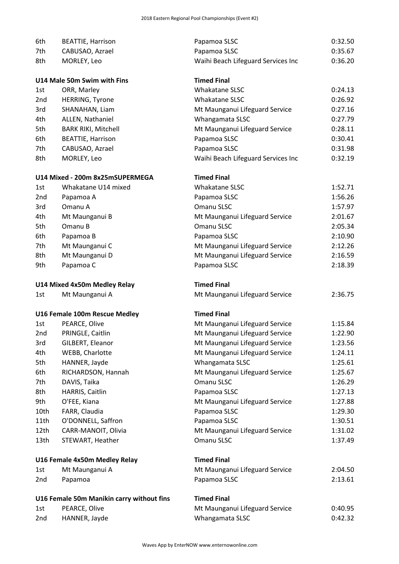| 6th        | <b>BEATTIE, Harrison</b>                  | Papamoa SLSC                                      | 0:32.50            |
|------------|-------------------------------------------|---------------------------------------------------|--------------------|
| 7th        | CABUSAO, Azrael                           | Papamoa SLSC                                      | 0:35.67            |
| 8th        | MORLEY, Leo                               | Waihi Beach Lifeguard Services Inc                | 0:36.20            |
|            |                                           |                                                   |                    |
|            | U14 Male 50m Swim with Fins               | <b>Timed Final</b>                                |                    |
| 1st        | ORR, Marley                               | Whakatane SLSC                                    | 0:24.13            |
| 2nd        | <b>HERRING, Tyrone</b>                    | <b>Whakatane SLSC</b>                             | 0:26.92            |
| 3rd        | SHANAHAN, Liam                            | Mt Maunganui Lifeguard Service                    | 0:27.16            |
| 4th        | ALLEN, Nathaniel                          | Whangamata SLSC                                   | 0:27.79            |
| 5th        | <b>BARK RIKI, Mitchell</b>                | Mt Maunganui Lifeguard Service                    | 0:28.11            |
| 6th        | <b>BEATTIE, Harrison</b>                  | Papamoa SLSC                                      | 0:30.41            |
| 7th        | CABUSAO, Azrael                           | Papamoa SLSC                                      | 0:31.98            |
| 8th        | MORLEY, Leo                               | Waihi Beach Lifeguard Services Inc                | 0:32.19            |
|            | U14 Mixed - 200m 8x25mSUPERMEGA           | <b>Timed Final</b>                                |                    |
| 1st        | Whakatane U14 mixed                       | Whakatane SLSC                                    | 1:52.71            |
| 2nd        | Papamoa A                                 | Papamoa SLSC                                      | 1:56.26            |
| 3rd        | Omanu A                                   | Omanu SLSC                                        | 1:57.97            |
| 4th        | Mt Maunganui B                            | Mt Maunganui Lifeguard Service                    | 2:01.67            |
| 5th        | Omanu B                                   | Omanu SLSC                                        | 2:05.34            |
| 6th        | Papamoa B                                 | Papamoa SLSC                                      | 2:10.90            |
| 7th        | Mt Maunganui C                            | Mt Maunganui Lifeguard Service                    | 2:12.26            |
| 8th        | Mt Maunganui D                            | Mt Maunganui Lifeguard Service                    | 2:16.59            |
| 9th        | Papamoa C                                 | Papamoa SLSC                                      | 2:18.39            |
|            |                                           |                                                   |                    |
|            |                                           |                                                   |                    |
|            | U14 Mixed 4x50m Medley Relay              | <b>Timed Final</b>                                |                    |
| 1st        | Mt Maunganui A                            | Mt Maunganui Lifeguard Service                    | 2:36.75            |
|            | U16 Female 100m Rescue Medley             | <b>Timed Final</b>                                |                    |
| 1st        | PEARCE, Olive                             | Mt Maunganui Lifeguard Service                    | 1:15.84            |
| 2nd        | PRINGLE, Caitlin                          | Mt Maunganui Lifeguard Service                    | 1:22.90            |
| 3rd        | GILBERT, Eleanor                          | Mt Maunganui Lifeguard Service                    | 1:23.56            |
| 4th        | WEBB, Charlotte                           | Mt Maunganui Lifeguard Service                    | 1:24.11            |
| 5th        | HANNER, Jayde                             | Whangamata SLSC                                   | 1:25.61            |
| 6th        | RICHARDSON, Hannah                        | Mt Maunganui Lifeguard Service                    | 1:25.67            |
| 7th        | DAVIS, Taika                              | Omanu SLSC                                        | 1:26.29            |
| 8th        | HARRIS, Caitlin                           | Papamoa SLSC                                      | 1:27.13            |
| 9th        | O'FEE, Kiana                              | Mt Maunganui Lifeguard Service                    | 1:27.88            |
| 10th       | FARR, Claudia                             | Papamoa SLSC                                      | 1:29.30            |
| 11th       | O'DONNELL, Saffron                        | Papamoa SLSC                                      | 1:30.51            |
| 12th       | CARR-MANOIT, Olivia                       | Mt Maunganui Lifeguard Service                    | 1:31.02            |
| 13th       | STEWART, Heather                          | Omanu SLSC                                        | 1:37.49            |
|            |                                           |                                                   |                    |
|            | U16 Female 4x50m Medley Relay             | <b>Timed Final</b>                                |                    |
| 1st        | Mt Maunganui A                            | Mt Maunganui Lifeguard Service                    | 2:04.50            |
| 2nd        | Papamoa                                   | Papamoa SLSC                                      | 2:13.61            |
|            | U16 Female 50m Manikin carry without fins | <b>Timed Final</b>                                |                    |
| 1st<br>2nd | PEARCE, Olive<br>HANNER, Jayde            | Mt Maunganui Lifeguard Service<br>Whangamata SLSC | 0:40.95<br>0:42.32 |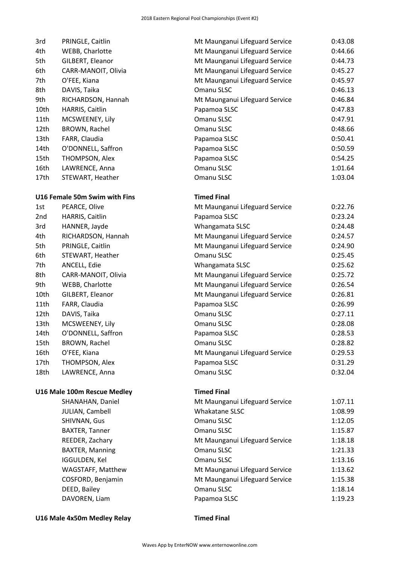| 3rd                         | PRINGLE, Caitlin              | Mt Maunganui Lifeguard Service | 0:43.08 |
|-----------------------------|-------------------------------|--------------------------------|---------|
| 4th                         | WEBB, Charlotte               | Mt Maunganui Lifeguard Service | 0:44.66 |
| 5th                         | GILBERT, Eleanor              | Mt Maunganui Lifeguard Service | 0:44.73 |
| 6th                         | CARR-MANOIT, Olivia           | Mt Maunganui Lifeguard Service | 0:45.27 |
| 7th                         | O'FEE, Kiana                  | Mt Maunganui Lifeguard Service | 0:45.97 |
| 8th                         | DAVIS, Taika                  | Omanu SLSC                     | 0:46.13 |
| 9th                         | RICHARDSON, Hannah            | Mt Maunganui Lifeguard Service | 0:46.84 |
| 10th                        | HARRIS, Caitlin               | Papamoa SLSC                   | 0:47.83 |
| 11th                        | MCSWEENEY, Lily               | Omanu SLSC                     | 0:47.91 |
| 12th                        | BROWN, Rachel                 | Omanu SLSC                     | 0:48.66 |
| 13th                        | FARR, Claudia                 | Papamoa SLSC                   | 0:50.41 |
| 14th                        | O'DONNELL, Saffron            | Papamoa SLSC                   | 0:50.59 |
| 15th                        | THOMPSON, Alex                | Papamoa SLSC                   | 0:54.25 |
| 16th                        | LAWRENCE, Anna                | Omanu SLSC                     | 1:01.64 |
| 17th                        | STEWART, Heather              | Omanu SLSC                     | 1:03.04 |
|                             | U16 Female 50m Swim with Fins | <b>Timed Final</b>             |         |
| 1st                         | PEARCE, Olive                 | Mt Maunganui Lifeguard Service | 0:22.76 |
| 2nd                         | HARRIS, Caitlin               | Papamoa SLSC                   | 0:23.24 |
| 3rd                         | HANNER, Jayde                 | Whangamata SLSC                | 0:24.48 |
| 4th                         | RICHARDSON, Hannah            | Mt Maunganui Lifeguard Service | 0:24.57 |
| 5th                         | PRINGLE, Caitlin              | Mt Maunganui Lifeguard Service | 0:24.90 |
| 6th                         | STEWART, Heather              | Omanu SLSC                     | 0:25.45 |
| 7th                         | ANCELL, Edie                  | Whangamata SLSC                | 0:25.62 |
| 8th                         | CARR-MANOIT, Olivia           | Mt Maunganui Lifeguard Service | 0:25.72 |
| 9th                         | WEBB, Charlotte               | Mt Maunganui Lifeguard Service | 0:26.54 |
| 10th                        | GILBERT, Eleanor              | Mt Maunganui Lifeguard Service | 0:26.81 |
| 11th                        | FARR, Claudia                 | Papamoa SLSC                   | 0:26.99 |
| 12th                        | DAVIS, Taika                  | Omanu SLSC                     | 0:27.11 |
| 13th                        | MCSWEENEY, Lily               | Omanu SLSC                     | 0:28.08 |
| 14th                        | O'DONNELL, Saffron            | Papamoa SLSC                   | 0:28.53 |
| 15th                        | BROWN, Rachel                 | Omanu SLSC                     | 0:28.82 |
| 16th                        | O'FEE, Kiana                  | Mt Maunganui Lifeguard Service | 0:29.53 |
| 17th                        | THOMPSON, Alex                | Papamoa SLSC                   | 0:31.29 |
| 18th                        | LAWRENCE, Anna                | Omanu SLSC                     | 0:32.04 |
| U16 Male 100m Rescue Medley |                               | <b>Timed Final</b>             |         |
|                             | SHANAHAN, Daniel              | Mt Maunganui Lifeguard Service | 1:07.11 |
|                             | JULIAN, Cambell               | Whakatane SLSC                 | 1:08.99 |
|                             | SHIVNAN, Gus                  | Omanu SLSC                     | 1:12.05 |
|                             | <b>BAXTER, Tanner</b>         | Omanu SLSC                     | 1:15.87 |
|                             | REEDER, Zachary               | Mt Maunganui Lifeguard Service | 1:18.18 |
|                             | <b>BAXTER, Manning</b>        | Omanu SLSC                     | 1:21.33 |
|                             | IGGULDEN, Kel                 | Omanu SLSC                     | 1:13.16 |
|                             | WAGSTAFF, Matthew             | Mt Maunganui Lifeguard Service | 1:13.62 |
|                             | COSFORD, Benjamin             | Mt Maunganui Lifeguard Service | 1:15.38 |
|                             | DEED, Bailey                  | Omanu SLSC                     | 1:18.14 |
|                             | DAVOREN, Liam                 | Papamoa SLSC                   | 1:19.23 |
| U16 Male 4x50m Medley Relay |                               | <b>Timed Final</b>             |         |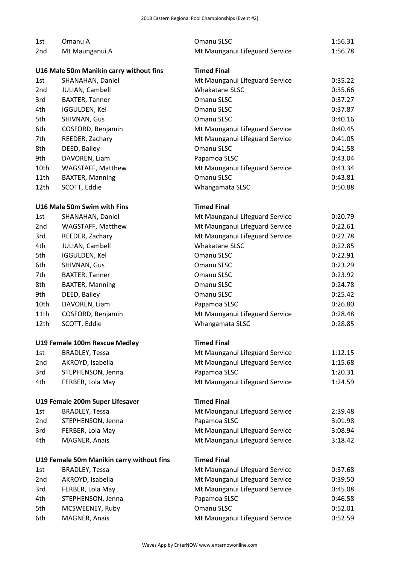| 1st                           | Omanu A                                   | Omanu SLSC                     | 1:56.31 |
|-------------------------------|-------------------------------------------|--------------------------------|---------|
| 2 <sub>nd</sub>               | Mt Maunganui A                            | Mt Maunganui Lifeguard Service | 1:56.78 |
|                               |                                           |                                |         |
|                               | U16 Male 50m Manikin carry without fins   | <b>Timed Final</b>             |         |
| 1st                           | SHANAHAN, Daniel                          | Mt Maunganui Lifeguard Service | 0:35.22 |
| 2 <sub>nd</sub>               | JULIAN, Cambell                           | Whakatane SLSC                 | 0:35.66 |
| 3rd                           | <b>BAXTER, Tanner</b>                     | Omanu SLSC                     | 0:37.27 |
| 4th                           | IGGULDEN, Kel                             | Omanu SLSC                     | 0:37.87 |
| 5th                           | SHIVNAN, Gus                              | Omanu SLSC                     | 0:40.16 |
| 6th                           | COSFORD, Benjamin                         | Mt Maunganui Lifeguard Service | 0:40.45 |
| 7th                           | REEDER, Zachary                           | Mt Maunganui Lifeguard Service | 0:41.05 |
| 8th                           | DEED, Bailey                              | Omanu SLSC                     | 0:41.58 |
| 9th                           | DAVOREN, Liam                             | Papamoa SLSC                   | 0:43.04 |
| 10th                          | WAGSTAFF, Matthew                         | Mt Maunganui Lifeguard Service | 0:43.34 |
| 11th                          | <b>BAXTER, Manning</b>                    | Omanu SLSC                     | 0:43.81 |
| 12th                          | SCOTT, Eddie                              | Whangamata SLSC                | 0:50.88 |
|                               |                                           |                                |         |
|                               | U16 Male 50m Swim with Fins               | <b>Timed Final</b>             |         |
| 1st                           | SHANAHAN, Daniel                          | Mt Maunganui Lifeguard Service | 0:20.79 |
| 2 <sub>nd</sub>               | WAGSTAFF, Matthew                         | Mt Maunganui Lifeguard Service | 0:22.61 |
| 3rd                           | REEDER, Zachary                           | Mt Maunganui Lifeguard Service | 0:22.78 |
| 4th                           | JULIAN, Cambell                           | Whakatane SLSC                 | 0:22.85 |
| 5th                           | IGGULDEN, Kel                             | Omanu SLSC                     | 0:22.91 |
| 6th                           | SHIVNAN, Gus                              | Omanu SLSC                     | 0:23.29 |
| 7th                           | <b>BAXTER, Tanner</b>                     | Omanu SLSC                     | 0:23.92 |
| 8th                           | BAXTER, Manning                           | Omanu SLSC                     | 0:24.78 |
| 9th                           | DEED, Bailey                              | Omanu SLSC                     | 0:25.42 |
| 10th                          | DAVOREN, Liam                             | Papamoa SLSC                   | 0:26.80 |
| 11th                          | COSFORD, Benjamin                         | Mt Maunganui Lifeguard Service | 0:28.48 |
| 12th                          | SCOTT, Eddie                              | Whangamata SLSC                | 0:28.85 |
|                               |                                           |                                |         |
| U19 Female 100m Rescue Medley |                                           | <b>Timed Final</b>             |         |
| 1st                           | <b>BRADLEY, Tessa</b>                     | Mt Maunganui Lifeguard Service | 1:12.15 |
| 2nd                           | AKROYD, Isabella                          | Mt Maunganui Lifeguard Service | 1:15.68 |
| 3rd                           | STEPHENSON, Jenna                         | Papamoa SLSC                   | 1:20.31 |
| 4th                           | FERBER, Lola May                          | Mt Maunganui Lifeguard Service | 1:24.59 |
|                               | U19 Female 200m Super Lifesaver           | <b>Timed Final</b>             |         |
| 1st                           | <b>BRADLEY, Tessa</b>                     | Mt Maunganui Lifeguard Service | 2:39.48 |
| 2nd                           | STEPHENSON, Jenna                         | Papamoa SLSC                   | 3:01.98 |
| 3rd                           |                                           |                                | 3:08.94 |
|                               | FERBER, Lola May                          | Mt Maunganui Lifeguard Service |         |
| 4th                           | MAGNER, Anais                             | Mt Maunganui Lifeguard Service | 3:18.42 |
|                               | U19 Female 50m Manikin carry without fins | <b>Timed Final</b>             |         |
| 1st                           | <b>BRADLEY, Tessa</b>                     | Mt Maunganui Lifeguard Service | 0:37.68 |
| 2nd                           | AKROYD, Isabella                          | Mt Maunganui Lifeguard Service | 0:39.50 |
| 3rd                           | FERBER, Lola May                          | Mt Maunganui Lifeguard Service | 0:45.08 |
| 4th                           | STEPHENSON, Jenna                         | Papamoa SLSC                   | 0:46.58 |
| 5th                           | MCSWEENEY, Ruby                           | Omanu SLSC                     | 0:52.01 |
| 6th                           | MAGNER, Anais                             | Mt Maunganui Lifeguard Service | 0:52.59 |
|                               |                                           |                                |         |